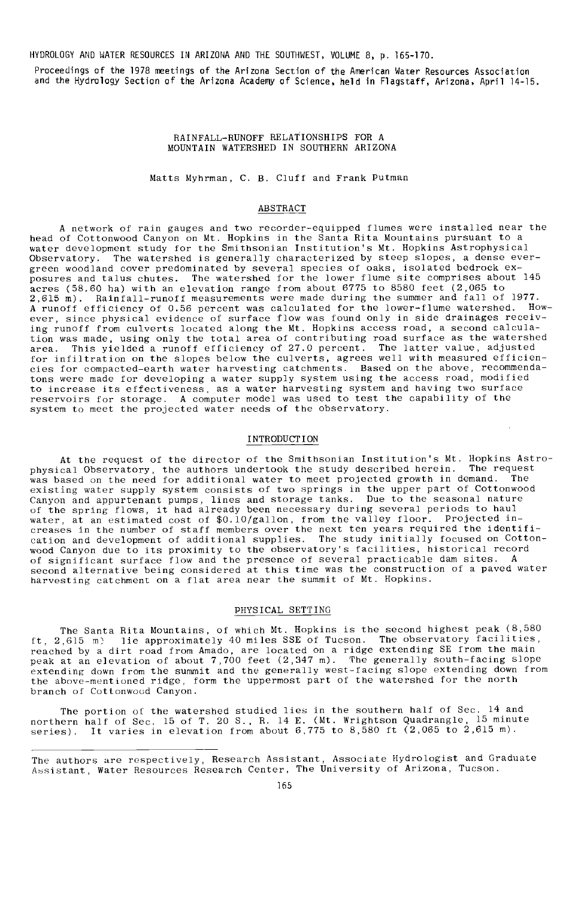HYDROLOGY AND WATER RESOURCES IN ARIZONA AND THE SOUTHWEST, VOLUME 8, p. 165-170.

Proceedings of the 1978 meetings of the Arizona Section of the American Water Resources Association and the Hydrology Section of the Arizona Academy of Science, held in Flagstaff, Arizona, April 14-15.

### RAINFALL -RUNOFF RELATIONSHIPS FOR A MOUNTAIN WATERSHED IN SOUTHERN ARIZONA

Matts Myhrman, C. B. Cluff and Frank Putman

### ABSTRACT

A network of rain gauges and two recorder -equipped flumes were installed near the head of Cottonwood Canyon on Mt. Hopkins in the Santa Rita Mountains pursuant to a water development study for the Smithsonian Institution's Mt. Hopkins Astrophysical<br>Observatory. The watershed is generally characterized by steep slopes, a dense eve The watershed is generally characterized by steep slopes, a dense evergreen woodland cover predominated by several species of oaks, isolated bedrock exposures and talus chutes. The watershed for the lower flume site comprises about 145 acres (58.60 ha) with an elevation range from about 6775 to 8580 feet (2,065 to 2,615 m). Rainfall-runoff measurements were made during the summer and fall of 1977.<br>A runoff efficiency of 0.56 percent was calculated for the lower-flume watershed. How-A runoff efficiency of 0.56 percent was calculated for the lower-flume watershed. How-<br>ever, since physical evidence of surface flow was found only in side drainages receiv-<br>ing runoff from culverts located along the Mt. tion was made, using only the total area of contributing road surface as the watershed<br>area. This vielded a runoff efficiency of 27.0 percent. The latter value, adjusted area. This yielded a runoff efficiency of 27.0 percent. for infiltration on the slopes below the culverts, agrees well with measured efficiencies for compacted -earth water harvesting catchments. Based on the above, recommenda-tons were made for developing a water supply system using the access road, modified to increase its effectiveness, as a water harvesting system and having two surface reservoirs for storage. A computer model was used to test the capability of the system to meet the projected water needs of the observatory.

# INTRODUCTION

At the request of the director of the Smithsonian Institution's Mt. Hopkins Astrophysical Observatory, the authors undertook the study described herein. The request<br>was based on the need for additional water to meet projected growth in demand. The existing water supply system consists of two springs in the upper part of Cottonwood Canyon and appurtenant pumps, lines and storage tanks. Due to the seasonal nature of the spring flows, it had already been necessary during several periods to haul water, at an estimated cost of \$0.10 /gallon, from the valley floor. Projected in-creases in the number of staff members over the next ten years required the identification and development of additional supplies. The study initially focused on Cottonwood Canyon due to its proximity to the observatory's facilities, historical record<br>of significant surface flow and the presence of several practicable dam sites. A second alternative being considered at this time was the construction of a paved water harvesting catchment on a flat area near the summit of Mt. Hopkins.

## PHYSICAL SETTING

The Santa Rita Mountains, of which Mt. Hopkins is the second highest peak (8,580 ft, 2,615 m) lie approximately 40 miles SSE of Tucson. The observatory facilities, reached by a dirt road from Amado, are located on a ridge extending SE from the main peak at an elevation of about 7,700 feet (2,347 m). The generally south-facing slope extending down from the summit and the generally west-facing slope extending down from the above- mentioned ridge, form the uppermost part of the watershed for the north branch of Cottonwood Canyon.

The portion of the watershed studied lies in the southern half of Sec. 14 and northern half of Sec. 15 of T. 20 S., R. 14 E. (Mt. Wrightson Quadrangle, 15 minute series). It varies in elevation from about 6,775 to 8,580 ft (2,065 to 2,615 m).

The authors are respectively, Research Assistant, Associate Hydrologist and Graduate Assistant, Water Resources Research Center, The University of Arizona, Tucson.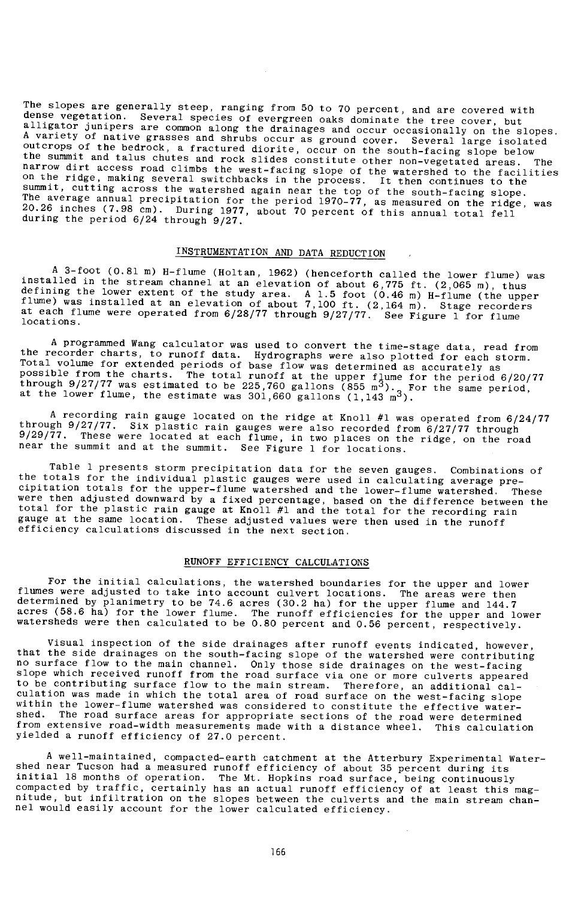The slopes are generally steep, ranging from 50 to 70 percent, and are covered with<br>dense vegetation. Several species of evergreen oaks dominate the tree cover, but<br>alligator junipers are common along the drainages and occ summit, cutting across the watershed again near the top of the south-facing slope.<br>The average annual precipitation for the period 1970–77, as measured on the ridge, was<br>20.26 inches (7.98 cm). During 1977, about 70 percen

# INSTRUMENTATION AND DATA REDUCTION ,

A 3-foot (0.81 m) H-flume (Holtan, 1962) (henceforth called the lower flume) was installed in the stream channel at an elevation of about 6,775 ft. (2,065 m), thus defining the lower extent of the study area. A 1.5 foot (

A programmed Wang calculator was used to convert the time-stage data, read from<br>the recorder charts, to runoff data. Hydrographs were also plotted for each storm.<br>Total volume for extended periods of base flow was determin through 9/27/77 was estimated to be 225,760 gallons (855 m<sup>3</sup>). For the same period,<br>at the lower flume, the estimate was 301,660 gallons (1,143 m<sup>3</sup>).

A recording rain gauge located on the ridge at Knoll #1 was operated from 6/24/77 through 9/27/77. Six plastic rain gauges were also recorded from 6/27/77 through 9/29/77. These were located at each flume, in two places on the ridge, on the road near the summit and at the summit. See Figure 1 for locations.

Table 1 presents storm precipitation data for the seven gauges. Combinations of the totals for the individual plastic gauges were used in calculating average precipitation totals for the upper -flume watershed and the lower -flume watershed. These were then adjusted downward by a fixed percentage, based on the difference between the total for the plastic rain gauge at Knoll #1 and the total for the recording rain gauge at the same location. These adjusted values were then used in the runoff efficiency calculations discussed in the next section.

# RUNOFF EFFICIENCY CALCULATIONS

For the initial calculations, the watershed boundaries for the upper and lower flumes were adjusted to take into account culvert locations. The areas were then determined by planimetry to be 74.6 acres (30.2 ha) for the upper flume and 144.7 acres (58.6 ha) for the lower flume. The runoff efficiencies for the upper and lower watersheds were then calculated to be 0.80 percent and 0.56 percent, respectively.

Visual inspection of the side drainages after runoff events indicated, however, that the side drainages on the south -facing slope of the watershed were contributing no surface flow to the main channel. Only those side drainages on the west-facing  $\overline{\phantom{a}}$ <br>slope which received runoff from the road surface via one or more culverts appeared to be contributing surface flow to the main stream. Therefore, an additional cal-culation was made in which the total area of road surface on the west- facing slope within the lower-flume watershed was considered to constitute the effective water-<br>shed. The road surface areas for appropriate sections of the road were determined The road surface areas for appropriate sections of the road were determined from extensive road-width measurements made with a distance wheel. This calculation yielded a runoff efficiency of 27.0 percent.

A well- maintained, compacted -earth catchment at the Atterbury Experimental Water-shed near Tucson had a measured runoff efficiency of about 35 percent during its initial 18 months of operation. The Mt. Hopkins road surface, being continuously compacted by traffic, certainly has an actual runoff efficiency of at least this magnitude, but infiltration on the slopes between the culverts and the main stream chan-nel would easily account for the lower calculated efficiency.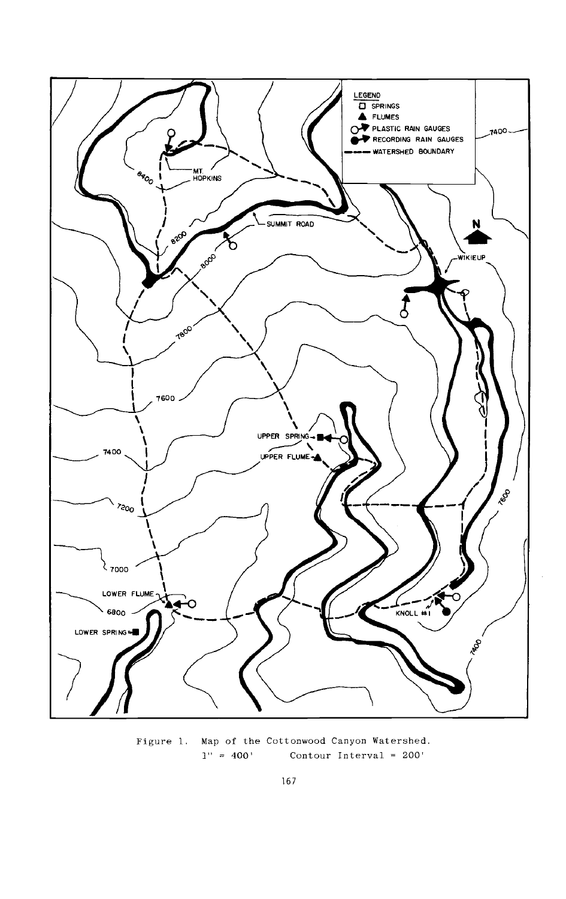

Figure 1. Map of the Cottonwood Canyon Watershed.<br> $1'' = 400'$  Contour Interval = 200' Contour Interval =  $200'$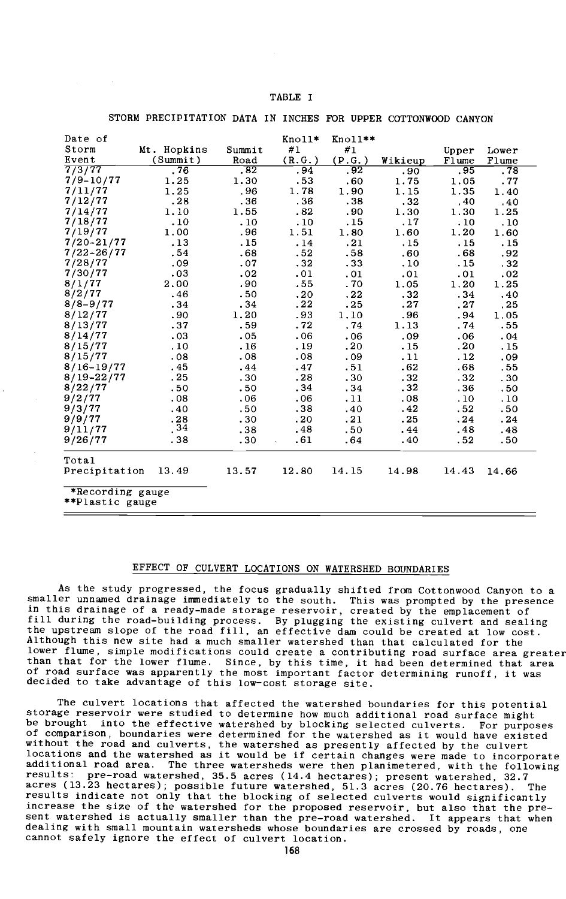| <b>TABLE</b> |
|--------------|
|--------------|

#### STORM PRECIPITATION DATA IN INCHES FOR UPPER COTTONWOOD CANYON

| .76<br>.28<br>.10<br>.13<br>.54<br>.09<br>.03<br>.46 | (Summit)<br>Road<br>.82<br>1.25<br>1.30<br>1.25<br>.96<br>.36<br>1.55<br>1,10<br>.10<br>1.00<br>.96<br>.15<br>.68<br>.07<br>.02<br>2.00<br>.90<br>.50 | (R.G.)<br>.94<br>.53<br>1.78<br>.36<br>.82<br>.10<br>1.51<br>.14<br>.52<br>.32<br>.01<br>.55<br>.20 | (P.G. )<br>.92<br>.60<br>1.90<br>.38<br>.90<br>.15<br>1.80<br>.21<br>.58<br>.33<br>. 01<br>. 70 | Wikieup<br>.90<br>1.75<br>1.15<br>.32<br>1.30<br>.17<br>1.60<br>.15<br>.60<br>.10<br>.01 | Flume<br>.95<br>1.05<br>1.35<br>.40<br>1.30<br>.10<br>1.20<br>.15<br>.68<br>.15<br>.01 | Flume<br>.78<br>.77<br>1.40<br>.40<br>1.25<br>.10<br>1.60<br>.15<br>.92<br>.32<br>.02 |
|------------------------------------------------------|-------------------------------------------------------------------------------------------------------------------------------------------------------|-----------------------------------------------------------------------------------------------------|-------------------------------------------------------------------------------------------------|------------------------------------------------------------------------------------------|----------------------------------------------------------------------------------------|---------------------------------------------------------------------------------------|
|                                                      |                                                                                                                                                       |                                                                                                     |                                                                                                 |                                                                                          |                                                                                        |                                                                                       |
|                                                      |                                                                                                                                                       |                                                                                                     |                                                                                                 |                                                                                          |                                                                                        |                                                                                       |
|                                                      |                                                                                                                                                       |                                                                                                     |                                                                                                 |                                                                                          |                                                                                        |                                                                                       |
|                                                      |                                                                                                                                                       |                                                                                                     |                                                                                                 |                                                                                          |                                                                                        |                                                                                       |
|                                                      |                                                                                                                                                       |                                                                                                     |                                                                                                 |                                                                                          |                                                                                        |                                                                                       |
|                                                      |                                                                                                                                                       |                                                                                                     |                                                                                                 |                                                                                          |                                                                                        |                                                                                       |
|                                                      |                                                                                                                                                       |                                                                                                     |                                                                                                 |                                                                                          |                                                                                        |                                                                                       |
|                                                      |                                                                                                                                                       |                                                                                                     |                                                                                                 |                                                                                          |                                                                                        |                                                                                       |
|                                                      |                                                                                                                                                       |                                                                                                     |                                                                                                 |                                                                                          |                                                                                        |                                                                                       |
|                                                      |                                                                                                                                                       |                                                                                                     |                                                                                                 |                                                                                          |                                                                                        |                                                                                       |
|                                                      |                                                                                                                                                       |                                                                                                     |                                                                                                 |                                                                                          |                                                                                        |                                                                                       |
|                                                      |                                                                                                                                                       |                                                                                                     |                                                                                                 |                                                                                          |                                                                                        |                                                                                       |
|                                                      |                                                                                                                                                       |                                                                                                     |                                                                                                 | 1.05                                                                                     | 1.20                                                                                   | 1.25                                                                                  |
|                                                      |                                                                                                                                                       |                                                                                                     | .22                                                                                             | .32                                                                                      | .34                                                                                    | .40                                                                                   |
| .34                                                  | .34                                                                                                                                                   | . 22                                                                                                | .25                                                                                             | .27                                                                                      | .27                                                                                    | . 25                                                                                  |
| .90                                                  | 1.20                                                                                                                                                  | .93                                                                                                 | 1.10                                                                                            | . 96                                                                                     | .94                                                                                    | 1.05                                                                                  |
| .37                                                  | .59                                                                                                                                                   | .72                                                                                                 | .74                                                                                             | 1.13                                                                                     | .74                                                                                    | .55                                                                                   |
| .03                                                  | .05                                                                                                                                                   | .06                                                                                                 | .06                                                                                             | .09                                                                                      | .06                                                                                    | .04                                                                                   |
| .10                                                  | .16                                                                                                                                                   | . 19                                                                                                | .20                                                                                             | .15                                                                                      | .20                                                                                    | .15                                                                                   |
| .08                                                  | .08                                                                                                                                                   | .08                                                                                                 | . 09                                                                                            | .11                                                                                      | .12                                                                                    | .09                                                                                   |
| .45                                                  | .44                                                                                                                                                   | .47                                                                                                 | .51                                                                                             | .62                                                                                      | .68                                                                                    | .55                                                                                   |
| .25                                                  | .30                                                                                                                                                   | .28                                                                                                 | .30 <sub>1</sub>                                                                                | .32                                                                                      | .32                                                                                    | .30                                                                                   |
| .50                                                  | .50                                                                                                                                                   | .34                                                                                                 | . 34                                                                                            | . 32                                                                                     | .36                                                                                    | .50                                                                                   |
| .08                                                  | .06                                                                                                                                                   | .06                                                                                                 | .11                                                                                             | .08                                                                                      | .10                                                                                    | .10                                                                                   |
| .40                                                  | .50                                                                                                                                                   | .38                                                                                                 | .40                                                                                             | .42                                                                                      | .52                                                                                    | .50                                                                                   |
| .28                                                  | .30                                                                                                                                                   | .20                                                                                                 | .21                                                                                             | . 25                                                                                     | .24                                                                                    | .24                                                                                   |
| .34                                                  | .38                                                                                                                                                   | .48                                                                                                 | .50 <sub>1</sub>                                                                                | .44                                                                                      | .48                                                                                    | .48                                                                                   |
| .38                                                  | .30                                                                                                                                                   | .61                                                                                                 | . 64                                                                                            | .40                                                                                      | .52                                                                                    | .50                                                                                   |
|                                                      |                                                                                                                                                       |                                                                                                     |                                                                                                 |                                                                                          |                                                                                        |                                                                                       |
|                                                      | 13,49<br>13.57                                                                                                                                        | 12.80                                                                                               | 14.15                                                                                           | 14.98                                                                                    | 14,43                                                                                  | 14.66                                                                                 |
|                                                      |                                                                                                                                                       |                                                                                                     |                                                                                                 |                                                                                          | *Recording gauge                                                                       |                                                                                       |

\* \*Plastic gauge

## EFFECT OF CULVERT LOCATIONS ON WATERSHED BOUNDARIES

As the study progressed, the focus gradually shifted from Cottonwood Canyon to a smaller unnamed drainage immediately to the south. This was prompted by the presence in this drainage of a ready -made storage reservoir, created by the emplacement of fill during the road -building process. By plugging the existing culvert and sealing the upstream slope of the road fill, an effective dam could be created at low cost. Although this new site had a much smaller watershed than that calculated for the lower flume, simple modifications could create a contributing road surface area greater than that for the lower flume. Since, by this time, it had been determined that area of road surface was apparently the most important factor determining runoff, it was decided to take advantage of this low-cost storage site.

The culvert locations that affected the watershed boundaries for this potential storage reservoir were studied to determine how much additional road surface might be brought into the effective watershed by blocking selected culverts. For purposes of comparison, boundaries were determined for the watershed as it would have existed without the road and culverts, the watershed as presently affected by the culvert locations and the watershed as it would be if certain changes were made to incorporate additional road area. The three watersheds were then planimetered, with the following results: pre-road watershed, 35.5 acres (14.4 hectares); present watershed, 32.7 acres (13.23 hectares); possible future watershed, 51.3 acres (20.76 hectares). The results indicate not only that the blocking of selected culverts would significantly increase the size of the watershed for the proposed reservoir, but also that the present watershed is actually smaller than the pre-road watershed. It appears that when dealing with small mountain watersheds whose boundaries are crossed by roads, one cannot safely ignore the effect of culvert location.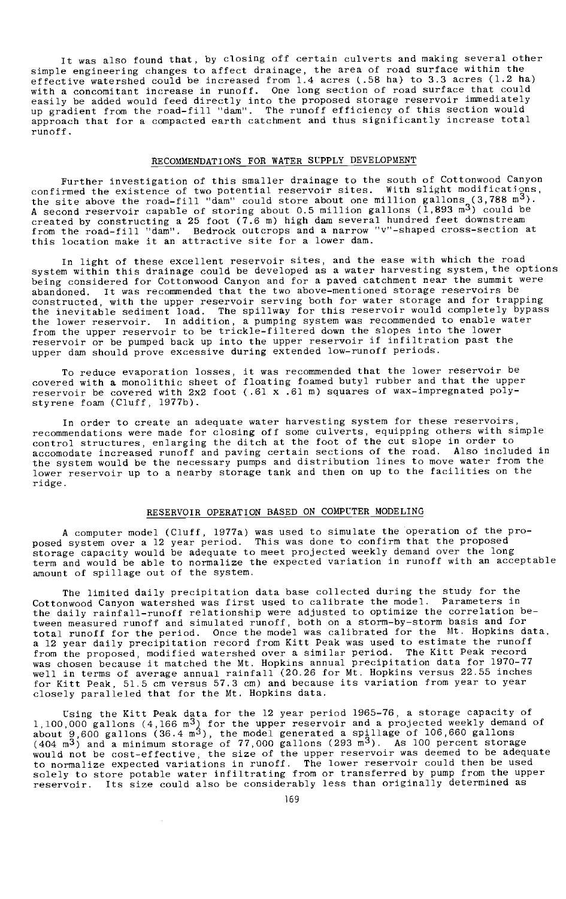It was also found that, by closing off certain culverts and making several other simple engineering changes to affect drainage, the area of road surface within the effective watershed could be increased from 1.4 acres (.58 ha) to 3.3 acres (1.2 ha) with a concomitant increase in runoff. One long section of road surface that could easily be added would feed directly into the proposed storage reservoir immediately<br>up gradient from the road-fill "dam". The runoff efficiency of this section would approach that for a compacted earth catchment and thus significantly increase total runoff.

# RECOMMENDATIONS FOR WATER SUPPLY DEVELOPMENT

Further investigation of this smaller drainage to the south of Cottonwood Canyon confirmed the existence of two potential reservoir sites. With slight modifications, the site above the road-fill "dam" could store about one million gallons (3,788 m<sup>3</sup>).<br>A second reservoir capable of storing about 0.5 million gallons (1,893 m<sup>3</sup>) could be<br>created by constructing a 25 foot (7.6 m) high da

In light of these excellent reservoir sites, and the ease with which the road system within this drainage could be developed as a water harvesting system, the options being considered for Cottonwood Canyon and for a paved catchment near the summit were abandoned. It was recommended that the two above -mentioned storage reservoirs be constructed, with the upper reservoir serving both for water storage and for trapping the inevitable sediment load. The spillway for this reservoir would completely bypass the lower reservoir. In addition, a pumping system was recommended to enable water from the upper reservoir to be trickle -filtered down the slopes into the lower reservoir or be pumped back up into the upper reservoir if infiltration past the upper dam should prove excessive during extended low-runoff periods.

To reduce evaporation losses, it was recommended that the lower reservoir be covered with a monolithic sheet of floating foamed butyl rubber and that the upper reservoir be covered with 2x2 foot (.61 x .61 m) squares of wax-impregnated polystyrene foam (Cluff, 1977b).

In order to create an adequate water harvesting system for these reservoirs, recommendations were made for closing off some culverts, equipping others with simple control structures, enlarging the ditch at the foot of the cut slope in order to accomodate increased runoff and paving certain sections of the road. Also included in the system would be the necessary pumps and distribution lines to move water from the lower reservoir up to a nearby storage tank and then on up to the facilities on the ridge.

## RESERVOIR OPERATION BASED ON COMPUTER MODELING

A computer model (Cluff, 1977a) was used to simulate the operation of the pro-<br>posed system over a 12 year period. This was done to confirm that the proposed<br>storage capacity would be adequate to meet projected weekly dema amount of spillage out of the system.

The limited daily precipitation data base collected during the study for the Cottonwood Canyon watershed was first used to calibrate the model. Parameters in the daily rainfall-runoff relationship were adjusted to optimize the correlation be-<br>tween measured runoff and simulated runoff, both on a storm-by-storm basis and for<br>total runoff for the period. Once the model was calib a 12 year daily precipitation record from Kitt Peak was used to estimate the runoff from the proposed, modified watershed over a similar period. The Kitt Peak record<br>was chosen because it matched the Mt. Hopkins annual precipitation data for 1970–77 well in terms of average annual rainfall (20.26 for Mt. Hopkins versus 22.55 inches for Kitt Peak, 51.5 cm versus 57.3 cm) and because its variation from year to year closely paralleled that for the Mt. Hopkins data.

Using the Kitt Peak data for the 12 year period 1965-76, a storage capacity of 1,100,000 gallons (4,166 m<sup>3</sup>) for the upper reservoir and a projected weekly demand of about 9,600 gallons (36.4 m<sup>3</sup>), the model generated a spillage of 106,660 gallons (404 m<sup>3</sup>) and a minimum storage of 77,000 gallons